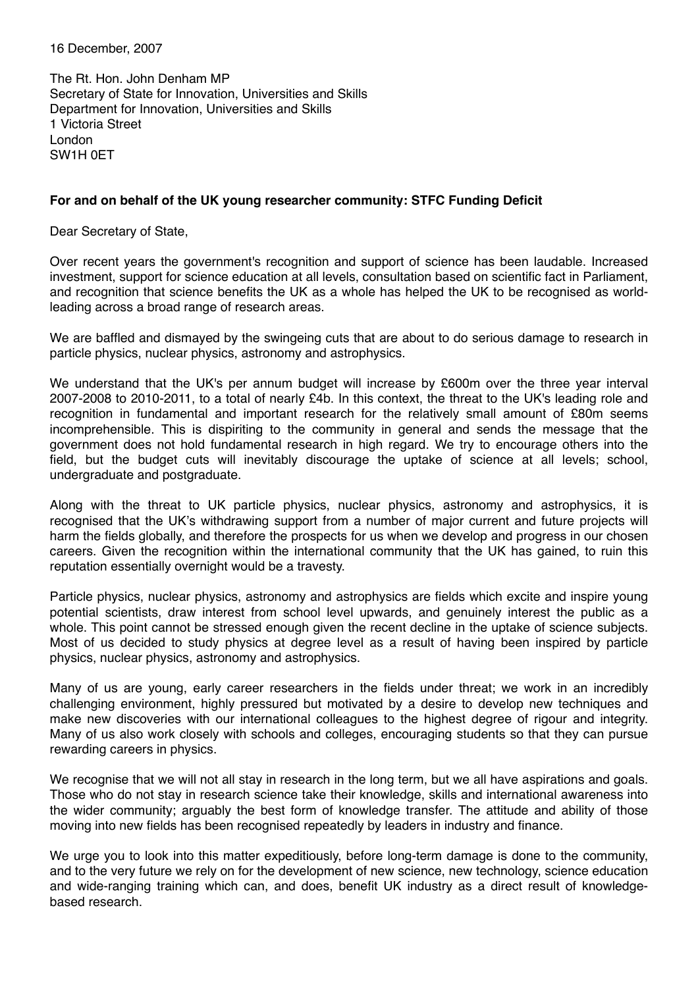16 December, 2007

The Rt. Hon. John Denham MP Secretary of State for Innovation, Universities and Skills Department for Innovation, Universities and Skills 1 Victoria Street London SW1H 0ET

## **For and on behalf of the UK young researcher community: STFC Funding Deficit**

Dear Secretary of State,

Over recent years the government's recognition and support of science has been laudable. Increased investment, support for science education at all levels, consultation based on scientific fact in Parliament, and recognition that science benefits the UK as a whole has helped the UK to be recognised as worldleading across a broad range of research areas.

We are baffled and dismayed by the swingeing cuts that are about to do serious damage to research in particle physics, nuclear physics, astronomy and astrophysics.

We understand that the UK's per annum budget will increase by £600m over the three year interval 2007-2008 to 2010-2011, to a total of nearly £4b. In this context, the threat to the UK's leading role and recognition in fundamental and important research for the relatively small amount of £80m seems incomprehensible. This is dispiriting to the community in general and sends the message that the government does not hold fundamental research in high regard. We try to encourage others into the field, but the budget cuts will inevitably discourage the uptake of science at all levels; school, undergraduate and postgraduate.

Along with the threat to UK particle physics, nuclear physics, astronomy and astrophysics, it is recognised that the UK's withdrawing support from a number of major current and future projects will harm the fields globally, and therefore the prospects for us when we develop and progress in our chosen careers. Given the recognition within the international community that the UK has gained, to ruin this reputation essentially overnight would be a travesty.

Particle physics, nuclear physics, astronomy and astrophysics are fields which excite and inspire young potential scientists, draw interest from school level upwards, and genuinely interest the public as a whole. This point cannot be stressed enough given the recent decline in the uptake of science subjects. Most of us decided to study physics at degree level as a result of having been inspired by particle physics, nuclear physics, astronomy and astrophysics.

Many of us are young, early career researchers in the fields under threat; we work in an incredibly challenging environment, highly pressured but motivated by a desire to develop new techniques and make new discoveries with our international colleagues to the highest degree of rigour and integrity. Many of us also work closely with schools and colleges, encouraging students so that they can pursue rewarding careers in physics.

We recognise that we will not all stay in research in the long term, but we all have aspirations and goals. Those who do not stay in research science take their knowledge, skills and international awareness into the wider community; arguably the best form of knowledge transfer. The attitude and ability of those moving into new fields has been recognised repeatedly by leaders in industry and finance.

We urge you to look into this matter expeditiously, before long-term damage is done to the community, and to the very future we rely on for the development of new science, new technology, science education and wide-ranging training which can, and does, benefit UK industry as a direct result of knowledgebased research.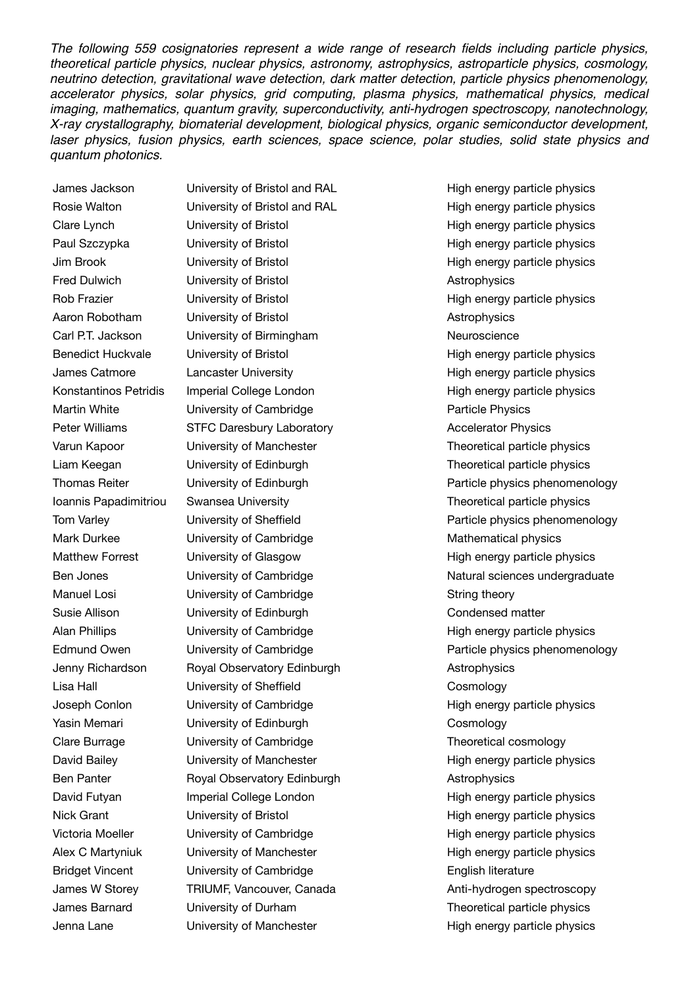*The following 559 cosignatories represent a wide range of research fields including particle physics, theoretical particle physics, nuclear physics, astronomy, astrophysics, astroparticle physics, cosmology, neutrino detection, gravitational wave detection, dark matter detection, particle physics phenomenology, accelerator physics, solar physics, grid computing, plasma physics, mathematical physics, medical imaging, mathematics, quantum gravity, superconductivity, anti-hydrogen spectroscopy, nanotechnology, X-ray crystallography, biomaterial development, biological physics, organic semiconductor development,*  laser physics, fusion physics, earth sciences, space science, polar studies, solid state physics and *quantum photonics.*

James Jackson Rosie Walton Clare Lynch Paul Szczypka Jim Brook Fred Dulwich Rob Frazier Aaron Robotham Carl P.T. Jackson Benedict Huckvale James Catmore Konstantinos Petridis Martin White Peter Williams Varun Kapoor Liam Keegan Thomas Reiter Ioannis Papadimitriou Tom Varley Mark Durkee Matthew Forrest Ben Jones Manuel Losi Susie Allison Alan Phillips Edmund Owen Jenny Richardson Lisa Hall Joseph Conlon Yasin Memari Clare Burrage David Bailey Ben Panter David Futyan Nick Grant Victoria Moeller Alex C Martyniuk Bridget Vincent James W Storey James Barnard Jenna Lane

University of Bristol and RAL High energy particle physics University of Bristol **High energy particle physics** University of Bristol **High energy particle physics** University of Bristol **High energy particle physics** University of Bristol **Astrophysics** Astrophysics University of Bristol **High energy particle physics** University of Bristol **Astrophysics** University of Birmingham Neuroscience University of Bristol **High energy particle physics** Lancaster University **Example 20** High energy particle physics Imperial College London **High energy particle physics** University of Cambridge Physics Particle Physics STFC Daresbury Laboratory **Accelerator Physics** Accelerator Physics University of Manchester Theoretical particle physics University of Edinburgh Theoretical particle physics Swansea University **Theoretical particle physics** University of Cambridge Mathematical physics University of Glasgow **High energy particle physics** University of Cambridge String theory University of Edinburgh Condensed matter University of Cambridge The High energy particle physics Royal Observatory Edinburgh **Astrophysics** University of Sheffield Cosmology University of Cambridge The High energy particle physics University of Edinburgh Cosmology University of Cambridge Theoretical cosmology University of Manchester **High energy particle physics** Royal Observatory Edinburgh Astrophysics Imperial College London **High energy particle physics** University of Bristol **High energy particle physics** University of Cambridge The High energy particle physics University of Manchester **High energy particle physics** University of Cambridge **English Literature** English literature TRIUMF, Vancouver, Canada Anti-hydrogen spectroscopy University of Durham Theoretical particle physics

University of Bristol and RAL High energy particle physics University of Edinburgh **Particle physics phenomenology** University of Sheffield **Particle physics phenomenology** University of Cambridge The Natural sciences undergraduate University of Cambridge The Particle physics phenomenology University of Manchester **High energy particle physics**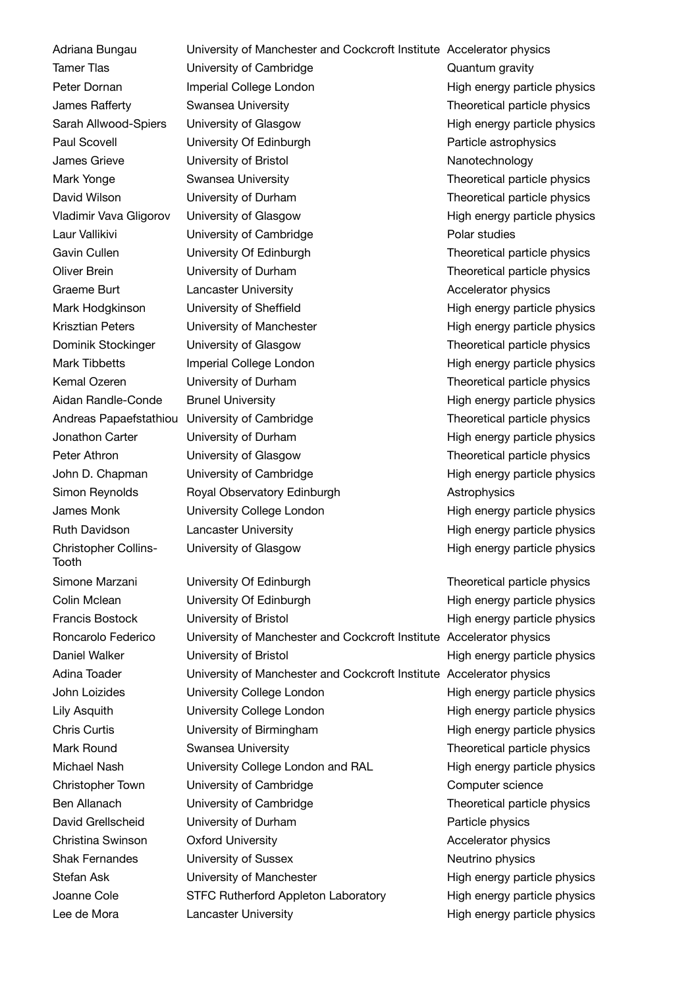Adriana Bungau Tamer Tlas Peter Dornan James Rafferty Sarah Allwood-Spiers Paul Scovell James Grieve Mark Yonge David Wilson Vladimir Vava Gligorov Laur Vallikivi Gavin Cullen Oliver Brein Graeme Burt Mark Hodgkinson Krisztian Peters Dominik Stockinger Mark Tibbetts Kemal Ozeren Aidan Randle-Conde Jonathon Carter Peter Athron John D. Chapman Simon Reynolds James Monk Ruth Davidson Christopher Collins-Tooth Simone Marzani Colin Mclean Francis Bostock Roncarolo Federico Daniel Walker Adina Toader John Loizides Lily Asquith Chris Curtis Mark Round Michael Nash Christopher Town Ben Allanach David Grellscheid Christina Swinson Shak Fernandes Stefan Ask Joanne Cole Lee de Mora

Andreas Papaefstathiou University of Cambridge University of Manchester and Cockcroft Institute Accelerator physics University of Cambridge Cambridge Cuantum gravity Swansea University **Theoretical particle physics** University Of Edinburgh **Particle astrophysics** University of Bristol Nanotechnology Swansea University Theoretical particle physics University of Durham Theoretical particle physics University of Cambridge **Polar studies** University Of Edinburgh Theoretical particle physics University of Durham Theoretical particle physics Lancaster University **Accelerator physics** Accelerator physics University of Glasgow Theoretical particle physics University of Durham Theoretical particle physics University of Glasgow Theoretical particle physics Royal Observatory Edinburgh **Astrophysics** University College London High energy particle physics Lancaster University **Example 20** High energy particle physics University of Glasgow The High energy particle physics

> University Of Edinburgh Theoretical particle physics University Of Edinburgh **High energy particle physics** University of Bristol **High energy particle physics** University of Manchester and Cockcroft Institute Accelerator physics University of Bristol **High energy particle physics** University of Manchester and Cockcroft Institute Accelerator physics University College London High energy particle physics University College London High energy particle physics University of Birmingham Theorem High energy particle physics Swansea University **Theoretical particle physics** University College London and RAL High energy particle physics University of Cambridge Computer science University of Cambridge Theoretical particle physics University of Durham **Particle physics** Oxford University **Accelerator physics** Accelerator physics University of Sussex Neutrino physics University of Manchester **High energy particle physics** STFC Rutherford Appleton Laboratory High energy particle physics Lancaster University **Example 20** High energy particle physics

> Imperial College London **Exercise Server High energy particle physics** University of Glasgow **High energy particle physics** University of Glasgow **Example 20** High energy particle physics University of Sheffield **High energy particle physics** University of Manchester **High energy particle physics** Imperial College London **High energy particle physics** Brunel University **High energy particle physics** Theoretical particle physics University of Durham **High energy particle physics** University of Cambridge The High energy particle physics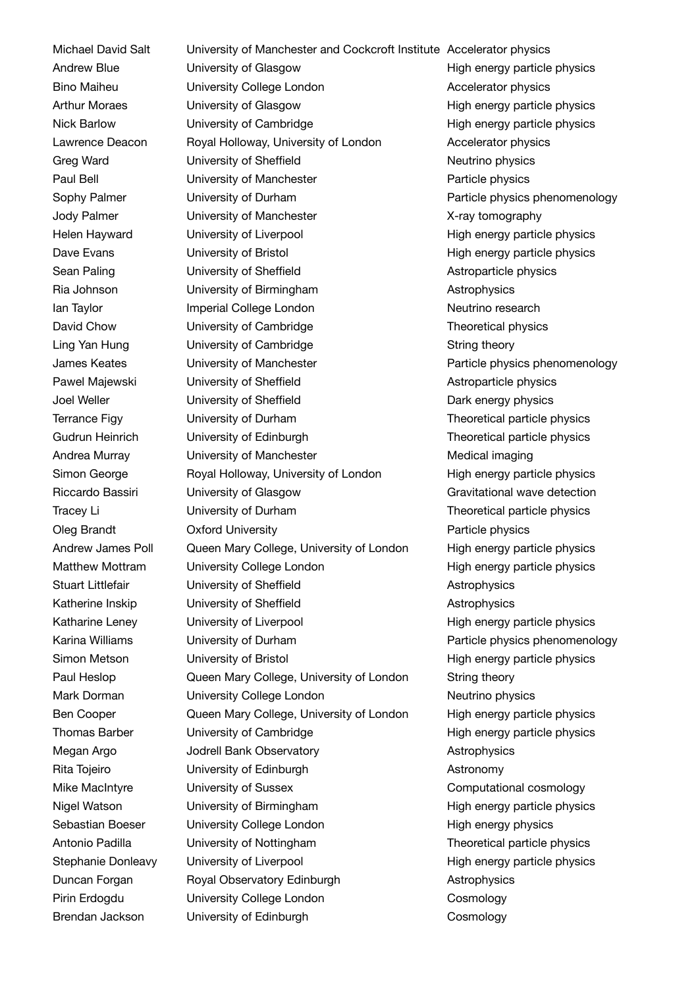Michael David Salt Andrew Blue Bino Maiheu Arthur Moraes Nick Barlow Lawrence Deacon Greg Ward Paul Bell Sophy Palmer Jody Palmer Helen Hayward Dave Evans Sean Paling Ria Johnson Ian Taylor David Chow Ling Yan Hung James Keates Pawel Majewski Joel Weller Terrance Figy Gudrun Heinrich Andrea Murray Simon George Riccardo Bassiri Tracey Li Oleg Brandt Andrew James Poll Matthew Mottram Stuart Littlefair Katherine Inskip Katharine Leney Karina Williams Simon Metson Paul Heslop Mark Dorman Ben Cooper Thomas Barber Megan Argo Rita Tojeiro Mike MacIntyre Nigel Watson Sebastian Boeser Antonio Padilla Stephanie Donleavy Duncan Forgan Pirin Erdogdu Brendan Jackson

University of Manchester and Cockcroft Institute Accelerator physics University of Glasgow **Example 20** High energy particle physics University College London **Accelerator physics** University of Glasgow **Example 20** High energy particle physics University of Cambridge The High energy particle physics Royal Holloway, University of London **Accelerator physics** University of Sheffield Neutrino physics University of Manchester **Particle physics** University of Durham **Particle physics phenomenology** University of Manchester The Controllery X-ray tomography University of Liverpool and High energy particle physics University of Bristol **High energy particle physics** University of Sheffield **Astroparticle physics** University of Birmingham Matrophysics Imperial College London Neutrino research University of Cambridge Theoretical physics University of Cambridge String theory University of Manchester **Particle physics phenomenology** University of Sheffield **Astroparticle physics** University of Sheffield Dark energy physics University of Durham Theoretical particle physics University of Edinburgh Theoretical particle physics University of Manchester Medical imaging Royal Holloway, University of London High energy particle physics University of Glasgow Gravitational wave detection University of Durham Theoretical particle physics Oxford University **Particle physics** Queen Mary College, University of London High energy particle physics University College London High energy particle physics University of Sheffield **Astrophysics** Astrophysics University of Sheffield **Astrophysics** University of Liverpool and High energy particle physics University of Durham Particle physics phenomenology University of Bristol **High energy particle physics** Queen Mary College, University of London String theory University College London Neutrino physics Queen Mary College, University of London High energy particle physics University of Cambridge The High energy particle physics Jodrell Bank Observatory **Astrophysics** University of Edinburgh **Astronomy** University of Sussex Computational cosmology University of Birmingham Theorem High energy particle physics University College London High energy physics University of Nottingham Theoretical particle physics University of Liverpool entity of the High energy particle physics Royal Observatory Edinburgh Astrophysics University College London Cosmology University of Edinburgh Cosmology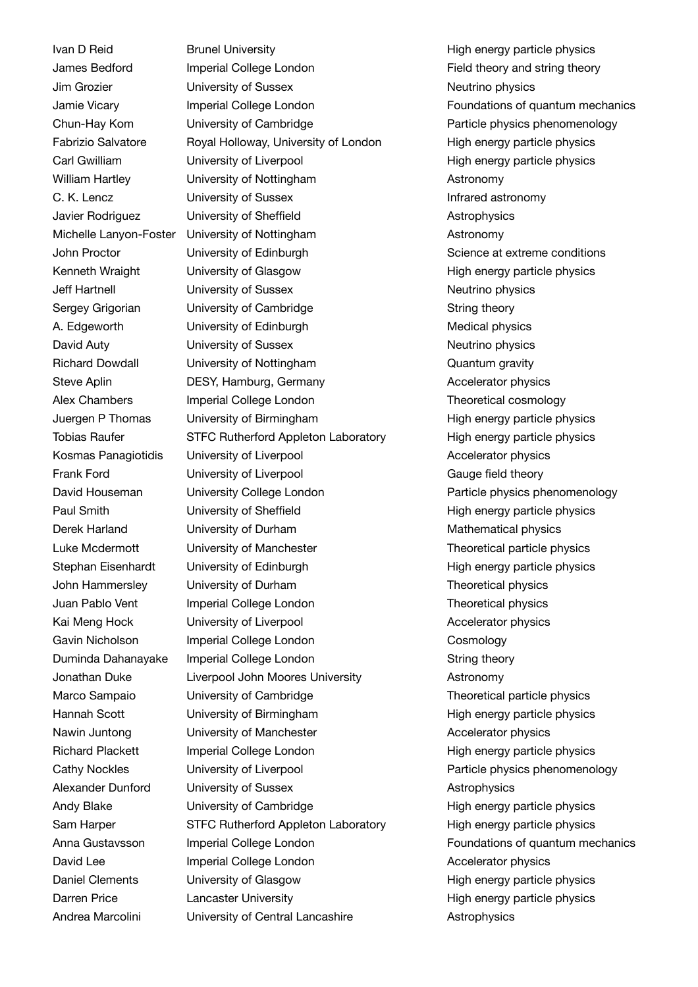Ivan D Reid James Bedford Jim Grozier Jamie Vicary Chun-Hay Kom Fabrizio Salvatore Carl Gwilliam William Hartley C. K. Lencz Javier Rodriguez Michelle Lanyon-Foster John Proctor Kenneth Wraight Jeff Hartnell Sergey Grigorian A. Edgeworth David Auty Richard Dowdall Steve Aplin Alex Chambers Juergen P Thomas Tobias Raufer Kosmas Panagiotidis Frank Ford David Houseman Paul Smith Derek Harland Luke Mcdermott Stephan Eisenhardt John Hammersley Juan Pablo Vent Kai Meng Hock Gavin Nicholson Duminda Dahanayake Jonathan Duke Marco Sampaio Hannah Scott Nawin Juntong Richard Plackett Cathy Nockles Alexander Dunford Andy Blake Sam Harper Anna Gustavsson David Lee Daniel Clements Darren Price Andrea Marcolini

Brunel University **High energy particle physics** High energy particle physics Imperial College London **Field theory and string theory** University of Sussex Neutrino physics Imperial College London Foundations of quantum mechanics University of Cambridge The Particle physics phenomenology Royal Holloway, University of London High energy particle physics University of Liverpool entity of the High energy particle physics University of Nottingham Astronomy University of Sussex **Infrared astronomy** University of Sheffield **Astrophysics** Astrophysics University of Nottingham Astronomy University of Edinburgh Science at extreme conditions University of Glasgow The High energy particle physics University of Sussex Neutrino physics University of Cambridge String theory University of Edinburgh Medical physics University of Sussex Neutrino physics University of Nottingham Cuantum gravity DESY, Hamburg, Germany **Accelerator physics** Imperial College London Theoretical cosmology University of Birmingham Theorem High energy particle physics STFC Rutherford Appleton Laboratory High energy particle physics University of Liverpool and Accelerator physics University of Liverpool Gauge field theory University College London Particle physics phenomenology University of Sheffield **High energy particle physics** University of Durham Mathematical physics University of Manchester Theoretical particle physics University of Edinburgh **High energy particle physics** University of Durham Theoretical physics Imperial College London Theoretical physics University of Liverpool and Accelerator physics Imperial College London Cosmology Imperial College London String theory Liverpool John Moores University Astronomy University of Cambridge Theoretical particle physics University of Birmingham Theorem High energy particle physics University of Manchester **Accelerator physics** Accelerator physics Imperial College London **Exercise Server High energy particle physics** University of Liverpool Particle physics phenomenology University of Sussex **Astrophysics** University of Cambridge The High energy particle physics STFC Rutherford Appleton Laboratory High energy particle physics Imperial College London **Foundations** of quantum mechanics Imperial College London **Accelerator physics** Accelerator physics University of Glasgow **Example 20** High energy particle physics Lancaster University **Example 20** High energy particle physics University of Central Lancashire **Astrophysics**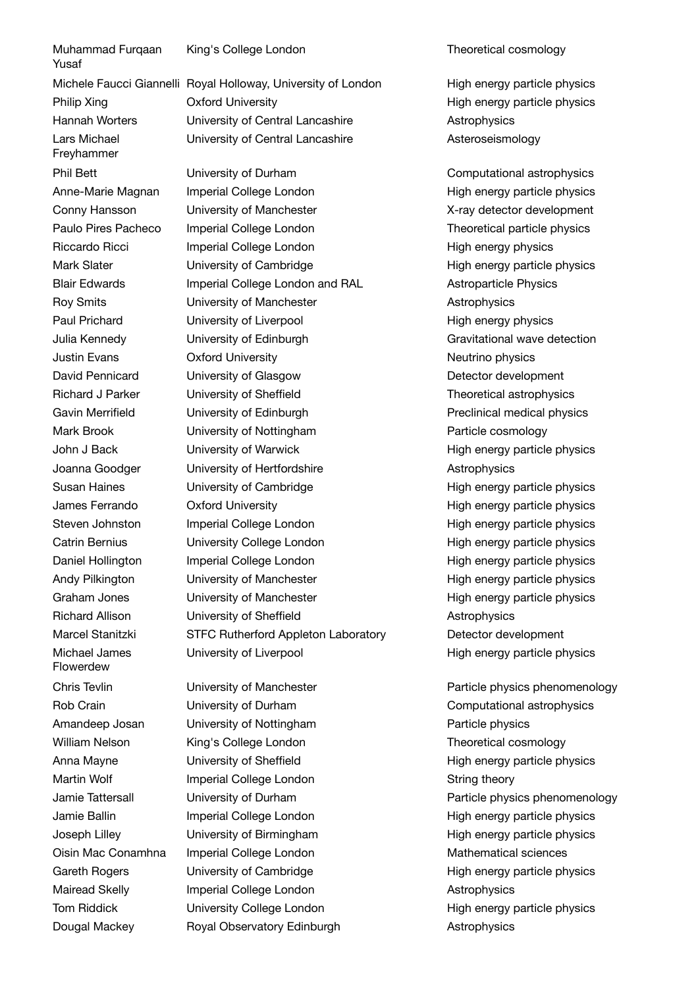Muhammad Furgaan Yusaf Philip Xing Hannah Worters Lars Michael Freyhammer Phil Bett Anne-Marie Magnan Conny Hansson Paulo Pires Pacheco Riccardo Ricci Mark Slater Blair Edwards Roy Smits Paul Prichard Julia Kennedy Justin Evans David Pennicard Richard J Parker Gavin Merrifield Mark Brook John J Back Joanna Goodger Susan Haines James Ferrando Steven Johnston Catrin Bernius Daniel Hollington Andy Pilkington Graham Jones Richard Allison Marcel Stanitzki Michael James Flowerdew Chris Tevlin Rob Crain Amandeep Josan William Nelson Anna Mayne Martin Wolf Jamie Tattersall Jamie Ballin Joseph Lilley Oisin Mac Conamhna Gareth Rogers Mairead Skelly Tom Riddick Dougal Mackey

King's College London Theoretical cosmology

Michele Faucci Giannelli Royal Holloway, University of London The High energy particle physics Oxford University **Exercise 20** Migh energy particle physics University of Central Lancashire **Astrophysics** University of Central Lancashire **Asteroseismology** 

> University of Durham Computational astrophysics Imperial College London **Exercise 2** High energy particle physics University of Manchester The Control of Manchester New Y-ray detector development Imperial College London Theoretical particle physics Imperial College London High energy physics University of Cambridge The High energy particle physics Imperial College London and RAL Astroparticle Physics University of Manchester **Astrophysics** University of Liverpool and High energy physics University of Edinburgh Gravitational wave detection Oxford University **Neutrino** physics University of Glasgow Detector development University of Sheffield Theoretical astrophysics University of Edinburgh **Preclinical medical physics** University of Nottingham **Particle cosmology** University of Warwick **High energy particle physics** University of Hertfordshire **Astrophysics** University of Cambridge The High energy particle physics Oxford University **Accord Entity** High energy particle physics Imperial College London **Fight energy particle physics** University College London **High energy particle physics** Imperial College London **Exercise 2** High energy particle physics University of Manchester The High energy particle physics University of Manchester **High energy particle physics** University of Sheffield **Astrophysics** STFC Rutherford Appleton Laboratory Detector development University of Liverpool entitled a set of High energy particle physics

University of Manchester The Particle physics phenomenology University of Nottingham **Particle physics** King's College London Theoretical cosmology Imperial College London String theory Imperial College London Mathematical sciences Imperial College London **Astrophysics** Royal Observatory Edinburgh **Astrophysics** 

University of Durham Computational astrophysics University of Sheffield **High energy particle physics** University of Durham **Particle physics phenomenology** Imperial College London **Exercise 2** High energy particle physics University of Birmingham High energy particle physics University of Cambridge High energy particle physics University College London High energy particle physics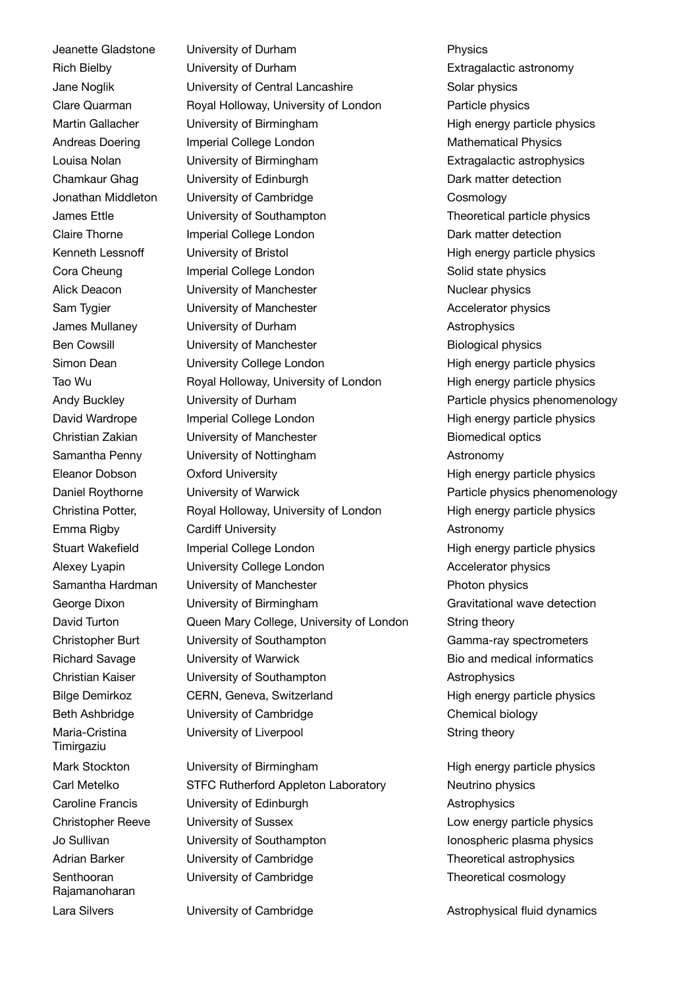Jeanette Gladstone Rich Bielby Jane Noglik Clare Quarman Martin Gallacher Andreas Doering Louisa Nolan Chamkaur Ghag Jonathan Middleton James Ettle Claire Thorne Kenneth Lessnoff Cora Cheung Alick Deacon Sam Tvgier James Mullaney Ben Cowsill Simon Dean Tao Wu Andy Buckley David Wardrope Christian Zakian Samantha Penny Eleanor Dobson Daniel Roythorne Christina Potter, Emma Rigby Stuart Wakefield Alexey Lyapin Samantha Hardman George Dixon David Turton Christopher Burt Richard Savage Christian Kaiser Bilge Demirkoz Beth Ashbridge Maria-Cristina Timirgaziu Mark Stockton Carl Metelko Caroline Francis Christopher Reeve Jo Sullivan Adrian Barker Senthooran Rajamanoharan

Lara Silvers

University of Durham **Physics** University of Durham **Extragalactic astronomy** University of Central Lancashire Solar physics Royal Holloway, University of London Particle physics University of Birmingham Theorem High energy particle physics Imperial College London Mathematical Physics University of Birmingham **Extragalactic astrophysics** University of Edinburgh Dark matter detection University of Cambridge Cosmology University of Southampton Theoretical particle physics Imperial College London Dark matter detection University of Bristol **High energy particle physics** Imperial College London Solid state physics University of Manchester Nuclear physics University of Manchester Accelerator physics University of Durham Astrophysics University of Manchester **Biological physics** University College London High energy particle physics Royal Holloway, University of London High energy particle physics University of Durham **Particle physics phenomenology** Imperial College London **Exercise 2** High energy particle physics University of Manchester **Biomedical optics** University of Nottingham **Astronomy** Oxford University **Accord Entity** High energy particle physics University of Warwick Particle physics phenomenology Royal Holloway, University of London High energy particle physics Cardiff University **Astronomy** Imperial College London **Fight energy particle physics** University College London **Accelerator physics** University of Manchester **Photon physics** University of Birmingham Gravitational wave detection Queen Mary College, University of London String theory University of Southampton Gamma-ray spectrometers University of Warwick **Bio and medical informatics** University of Southampton **Astrophysics** CERN, Geneva, Switzerland High energy particle physics University of Cambridge Chemical biology University of Liverpool String theory

University of Birmingham **High energy particle physics** STFC Rutherford Appleton Laboratory Neutrino physics University of Edinburgh **Astrophysics** University of Sussex **Low energy particle physics** University of Southampton Internal Information Internal Internal Physics University of Cambridge Theoretical astrophysics University of Cambridge Theoretical cosmology

University of Cambridge The Astrophysical fluid dynamics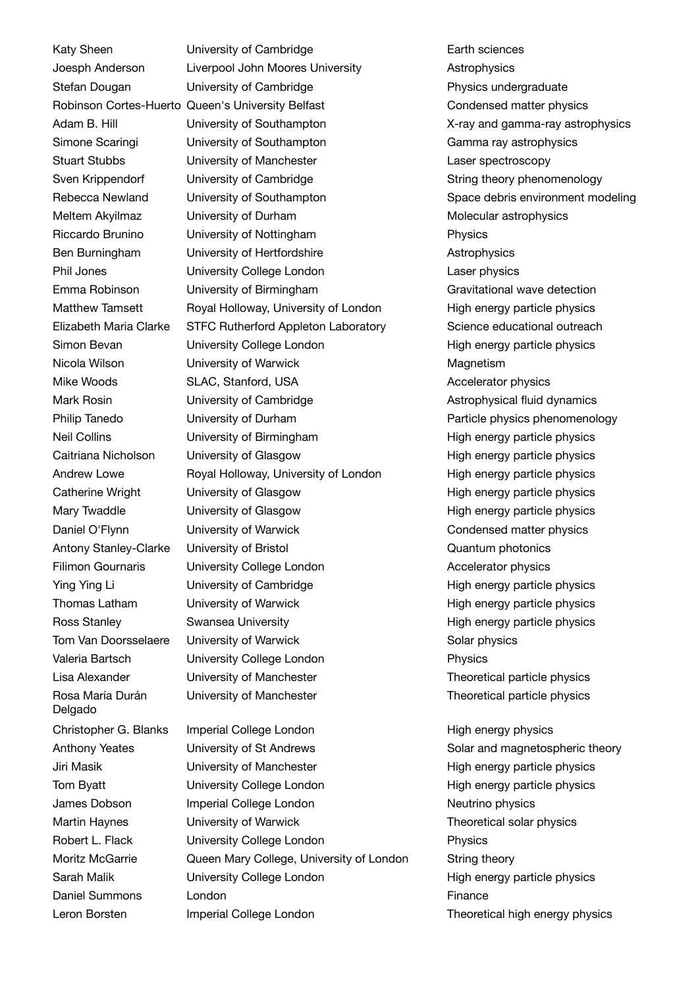Katy Sheen Joesph Anderson Stefan Dougan Adam B. Hill Simone Scaringi Stuart Stubbs Sven Krippendorf Rebecca Newland Meltem Akyilmaz Riccardo Brunino Ben Burningham Phil Jones Emma Robinson Matthew Tamsett Elizabeth Maria Clarke Simon Bevan Nicola Wilson Mike Woods Mark Rosin Philip Tanedo Neil Collins Caitriana Nicholson Andrew Lowe Catherine Wright Mary Twaddle Daniel O'Flynn Antony Stanley-Clarke Filimon Gournaris Ying Ying Li Thomas Latham Ross Stanley Tom Van Doorsselaere Valeria Bartsch Lisa Alexander Rosa María Durán Delgado Christopher G. Blanks Anthony Yeates Jiri Masik Tom Byatt James Dobson Martin Haynes Robert L. Flack Moritz McGarrie Sarah Malik Daniel Summons Leron Borsten

Robinson Cortes-Huerto Queen's University Belfast University of Cambridge **Earth** sciences Liverpool John Moores University Astrophysics University of Cambridge The Physics undergraduate University of Southampton X-ray and gamma-ray astrophysics University of Southampton Camma ray astrophysics University of Manchester Laser spectroscopy University of Cambridge Theory phenomenology University of Southampton Space debris environment modeling University of Durham Molecular astrophysics University of Nottingham **Physics** University of Hertfordshire **Astrophysics** University College London Laser physics University of Birmingham Communicational wave detection Royal Holloway, University of London High energy particle physics STFC Rutherford Appleton Laboratory Science educational outreach University College London **High energy particle physics** University of Warwick Magnetism SLAC, Stanford, USA Accelerator physics University of Cambridge **Astrophysical fluid dynamics** Astrophysical fluid dynamics University of Durham **Particle physics phenomenology** University of Birmingham Theorem High energy particle physics University of Glasgow **High energy particle physics** Royal Holloway, University of London High energy particle physics University of Glasgow **High energy particle physics** University of Glasgow **High energy particle physics** University of Warwick Condensed matter physics University of Bristol Cuantum photonics University College London Accelerator physics University of Cambridge The High energy particle physics University of Warwick **High energy particle physics** Swansea University **Example 20** High energy particle physics University of Warwick **Solar physics** Solar physics University College London **Physics** University of Manchester Theoretical particle physics University of Manchester Theoretical particle physics Imperial College London High energy physics

University of St Andrews Solar and magnetospheric theory University of Manchester The High energy particle physics University College London **High energy particle physics** Imperial College London Neutrino physics University of Warwick Theoretical solar physics University College London **Physics** Queen Mary College, University of London String theory University College London **High energy particle physics** London **Finance** Imperial College London Theoretical high energy physics

Condensed matter physics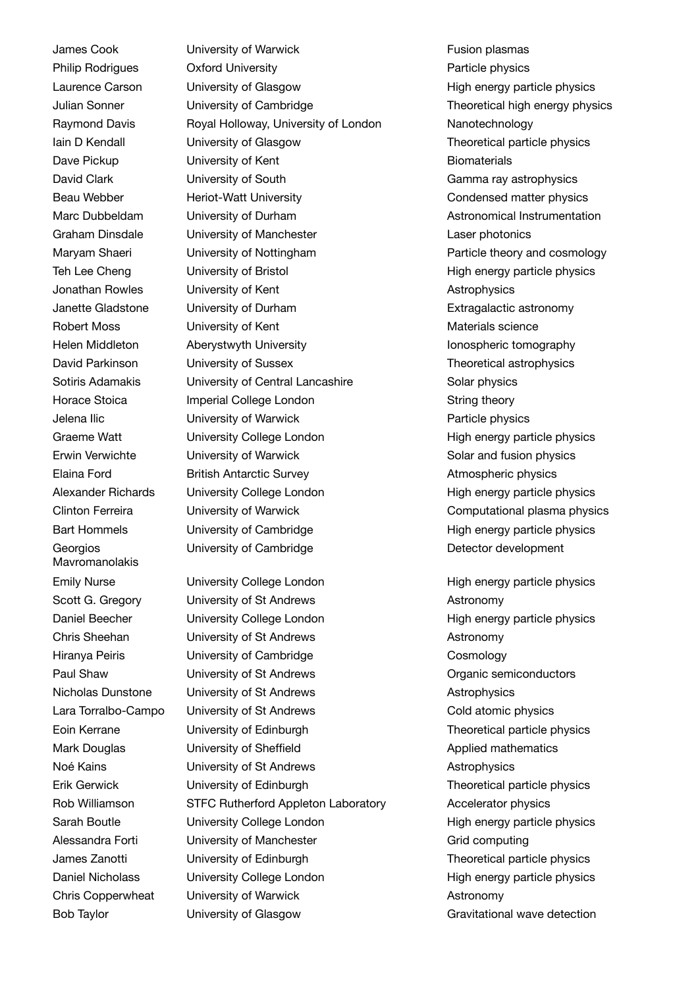James Cook Philip Rodrigues Laurence Carson Julian Sonner Raymond Davis Iain D Kendall Dave Pickup David Clark Beau Webber Marc Dubbeldam Graham Dinsdale Maryam Shaeri Teh Lee Cheng Jonathan Rowles Janette Gladstone Robert Moss Helen Middleton David Parkinson Sotiris Adamakis Horace Stoica Jelena Ilic Graeme Watt Erwin Verwichte Elaina Ford Alexander Richards Clinton Ferreira Bart Hommels **Georgios** Mavromanolakis Emily Nurse Scott G. Gregory Daniel Beecher Chris Sheehan Hiranya Peiris Paul Shaw Nicholas Dunstone Lara Torralbo-Campo Eoin Kerrane Mark Douglas Noé Kains Erik Gerwick Rob Williamson Sarah Boutle Alessandra Forti James Zanotti Daniel Nicholass Chris Copperwheat Bob Taylor

University of Warwick **Fusion plasmas** Oxford University **Particle physics** University of Glasgow **Example 20** High energy particle physics University of Cambridge Theoretical high energy physics Royal Holloway, University of London Nanotechnology University of Glasgow Theoretical particle physics University of Kent **Biomaterials** University of South Gamma ray astrophysics Heriot-Watt University **Condensed matter physics** University of Durham **Astronomical Instrumentation** University of Manchester **Laser photonics** University of Nottingham Theory and Cosmology extract Particle theory and cosmology University of Bristol **High energy particle physics** University of Kent **Astrophysics** University of Durham **Extragalactic astronomy** University of Kent Materials science Aberystwyth University **Ionospheric tomography** University of Sussex Theoretical astrophysics University of Central Lancashire Solar physics Imperial College London String theory University of Warwick **Particle physics** University College London **High energy particle physics** University of Warwick Solar and fusion physics British Antarctic Survey **Atmospheric physics** University College London High energy particle physics University of Warwick Computational plasma physics University of Cambridge The High energy particle physics University of Cambridge Detector development

University College London High energy particle physics University of St Andrews **Astronomy** University College London High energy particle physics University of St Andrews **Astronomy** University of Cambridge Cosmology University of St Andrews **Construction** Organic semiconductors University of St Andrews **Astrophysics** University of St Andrews Cold atomic physics University of Edinburgh Theoretical particle physics University of Sheffield **Applied mathematics** University of St Andrews **Astrophysics** University of Edinburgh Theoretical particle physics STFC Rutherford Appleton Laboratory **Accelerator physics** University College London High energy particle physics University of Manchester Grid computing University of Edinburgh Theoretical particle physics University College London **High energy particle physics** University of Warwick **Astronomy** University of Glasgow **Gravitational wave detection**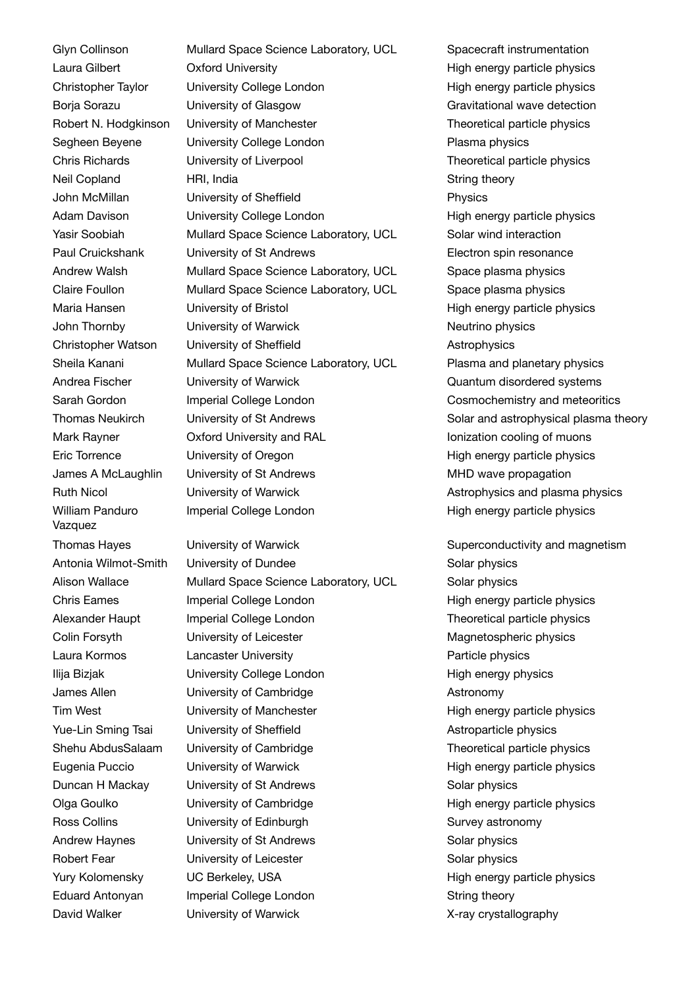Glyn Collinson Laura Gilbert Christopher Taylor Borja Sorazu Robert N. Hodgkinson Segheen Beyene Chris Richards Neil Copland John McMillan Adam Davison Yasir Soobiah Paul Cruickshank Andrew Walsh Claire Foullon Maria Hansen John Thornby Christopher Watson Sheila Kanani Andrea Fischer Sarah Gordon Thomas Neukirch Mark Rayner Eric Torrence James A McLaughlin Ruth Nicol William Panduro Vazquez Thomas Hayes Antonia Wilmot-Smith Alison Wallace Chris Eames Alexander Haupt Colin Forsyth Laura Kormos Ilija Bizjak James Allen Tim West Yue-Lin Sming Tsai Shehu AbdusSalaam Eugenia Puccio Duncan H Mackay Olga Goulko Ross Collins Andrew Haynes Robert Fear Yury Kolomensky Eduard Antonyan David Walker

Mullard Space Science Laboratory, UCL Spacecraft instrumentation Oxford University **Alternative Control** High energy particle physics University College London **High energy particle physics** University of Glasgow Gravitational wave detection University of Manchester Theoretical particle physics University College London Plasma physics University of Liverpool Theoretical particle physics HRI, India **String theory** String theory University of Sheffield **Physics** University College London **High energy particle physics** Mullard Space Science Laboratory, UCL Solar wind interaction University of St Andrews **Electron** spin resonance Mullard Space Science Laboratory, UCL Space plasma physics Mullard Space Science Laboratory, UCL Space plasma physics University of Bristol **High energy particle physics** University of Warwick Neutrino physics University of Sheffield **Astrophysics** Astrophysics Mullard Space Science Laboratory, UCL Plasma and planetary physics University of Warwick Contract Cuantum disordered systems Imperial College London Cosmochemistry and meteoritics University of St Andrews Solar and astrophysical plasma theory Oxford University and RAL Islamic cooling of muons University of Oregon **High energy particle physics** University of St Andrews MHD wave propagation University of Warwick **Astrophysics** and plasma physics Imperial College London High energy particle physics

University of Warwick **Superconductivity and magnetism** University of Dundee Solar physics Mullard Space Science Laboratory, UCL Solar physics Imperial College London **Exercise 2** High energy particle physics Imperial College London Theoretical particle physics University of Leicester Magnetospheric physics Lancaster University **Particle physics** University College London High energy physics University of Cambridge **Astronomy** University of Manchester **High energy particle physics** University of Sheffield **Astroparticle physics** Astroparticle physics University of Cambridge Theoretical particle physics University of Warwick **High energy particle physics** University of St Andrews Solar physics University of Cambridge The High energy particle physics University of Edinburgh Survey astronomy University of St Andrews Solar physics University of Leicester Solar physics UC Berkeley, USA **High energy particle physics** Imperial College London String theory University of Warwick X-ray crystallography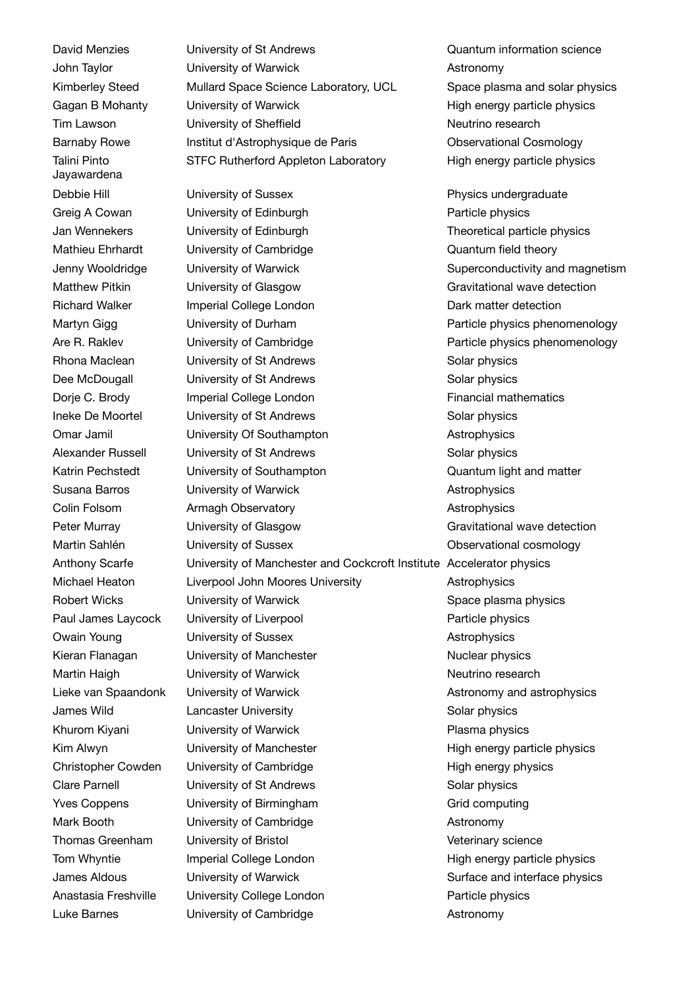David Menzies John Taylor Kimberley Steed Gagan B Mohanty Tim Lawson Barnaby Rowe Talini Pinto Jayawardena Debbie Hill Greig A Cowan Jan Wennekers Mathieu Ehrhardt Jenny Wooldridge Matthew Pitkin Richard Walker Martyn Gigg Are R. Raklev Rhona Maclean Dee McDougall Dorje C. Brody Ineke De Moortel Omar Jamil Alexander Russell Katrin Pechstedt Susana Barros Colin Folsom Peter Murray Martin Sahlén Anthony Scarfe Michael Heaton Robert Wicks Paul James Laycock Owain Young Kieran Flanagan Martin Haigh Lieke van Spaandonk James Wild Khurom Kiyani Kim Alwyn Christopher Cowden Clare Parnell Yves Coppens Mark Booth Thomas Greenham Tom Whyntie James Aldous Anastasia Freshville Luke Barnes

University of St Andrews Quantum information science University of Warwick **Astronomy** Mullard Space Science Laboratory, UCL Space plasma and solar physics University of Warwick **High energy particle physics** High energy particle physics University of Sheffield Neutrino research Institut d'Astrophysique de Paris Observational Cosmology STFC Rutherford Appleton Laboratory High energy particle physics

University of Sussex **Physics** undergraduate University of Edinburgh **Particle physics** Particle physics University of Edinburgh Theoretical particle physics University of Cambridge Cambridge Cuantum field theory University of Warwick **Superconductivity and magnetism** University of Glasgow Gravitational wave detection Imperial College London **Dark matter detection** University of Durham **Particle physics phenomenology** University of Cambridge The Particle physics phenomenology University of St Andrews Solar physics University of St Andrews Solar physics Imperial College London Financial mathematics University of St Andrews Solar physics University Of Southampton **Astrophysics** University of St Andrews Solar physics University of Southampton Cuantum light and matter University of Warwick **Astrophysics** Astrophysics Armagh Observatory **Armagh Observatory Astrophysics** University of Glasgow Gravitational wave detection University of Sussex Changes of Sussex Changes Changes Changes Conservational cosmology University of Manchester and Cockcroft Institute Accelerator physics Liverpool John Moores University Astrophysics University of Warwick Space plasma physics University of Liverpool **Particle physics** University of Sussex **Astrophysics** University of Manchester Nuclear physics University of Warwick Neutrino research University of Warwick **Astronomy** and astrophysics Lancaster University **Solar physics** Solar physics University of Warwick **Plasma** physics University of Manchester **High energy particle physics** University of Cambridge High energy physics University of St Andrews Solar physics University of Birmingham Grid computing University of Cambridge **Astronomy** University of Bristol Veterinary science Imperial College London **Fight energy particle physics** High energy particle physics University of Warwick **Surface and interface physics** Surface and interface physics University College London **Particle physics** 

University of Cambridge **Astronomy**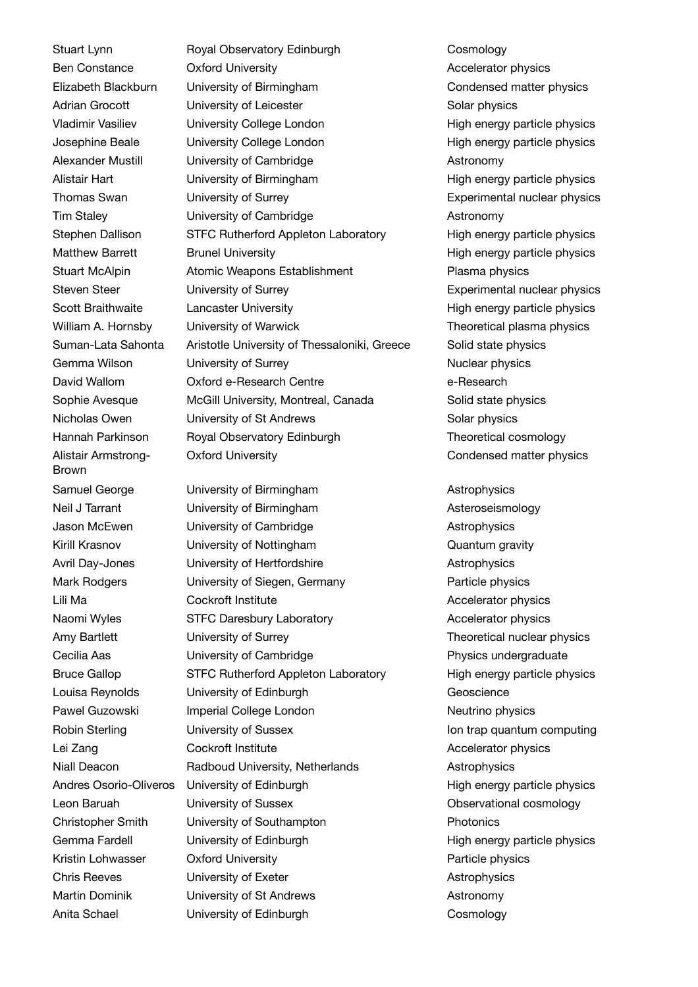Stuart Lynn Ben Constance Elizabeth Blackburn Adrian Grocott Vladimir Vasiliev Josephine Beale Alexander Mustill Alistair Hart Thomas Swan Tim Staley Stephen Dallison Matthew Barrett Stuart McAlpin Steven Steer Scott Braithwaite William A. Hornsby Suman-Lata Sahonta Gemma Wilson David Wallom Sophie Avesque Nicholas Owen Hannah Parkinson Alistair Armstrong-Brown Samuel George Neil J Tarrant Jason McEwen Kirill Krasnov Avril Day-Jones Mark Rodgers Lili Ma Naomi Wyles Amy Bartlett Cecilia Aas Bruce Gallop Louisa Reynolds Pawel Guzowski Robin Sterling Lei Zang Niall Deacon Andres Osorio-Oliveros Leon Baruah Christopher Smith Gemma Fardell Kristin Lohwasser Chris Reeves Martin Dominik Anita Schael

Royal Observatory Edinburgh Cosmology Oxford University **Accelerator physics** Accelerator physics University of Birmingham Condensed matter physics University of Leicester Solar physics University College London **High energy particle physics** University College London **High energy particle physics** University of Cambridge **Astronomy** University of Birmingham High energy particle physics University of Surrey **EXPERIM** Experimental nuclear physics University of Cambridge **Astronomy** Astronomy STFC Rutherford Appleton Laboratory High energy particle physics Brunel University **High energy particle physics** High energy particle physics Atomic Weapons Establishment Plasma physics University of Surrey **Experimental nuclear physics** Lancaster University **Example 20** High energy particle physics University of Warwick Theoretical plasma physics Aristotle University of Thessaloniki, Greece Solid state physics University of Surrey Nuclear physics Oxford e-Research Centre e-Research McGill University, Montreal, Canada Solid state physics University of St Andrews Solar physics Royal Observatory Edinburgh Theoretical cosmology Oxford University Condensed matter physics

University of Birmingham Communication Astrophysics University of Birmingham Muslim Asteroseismology University of Cambridge **Astrophysics** University of Nottingham Cuantum gravity University of Hertfordshire **Astrophysics** University of Siegen, Germany Particle physics Cockroft Institute **Accelerator physics** Accelerator physics STFC Daresbury Laboratory Mateuration Accelerator physics University of Surrey Theoretical nuclear physics University of Cambridge **Physics** undergraduate STFC Rutherford Appleton Laboratory High energy particle physics University of Edinburgh Geoscience Imperial College London Neutrino physics University of Sussex **Ion trap quantum computing** Cockroft Institute **Accelerator physics** Accelerator physics Radboud University, Netherlands **Astrophysics** University of Edinburgh The High energy particle physics University of Sussex **Observational cosmology** University of Southampton **Photonics** University of Edinburgh High energy particle physics Oxford University **Particle physics** University of Exeter **Astrophysics** University of St Andrews **Astronomy** University of Edinburgh Cosmology